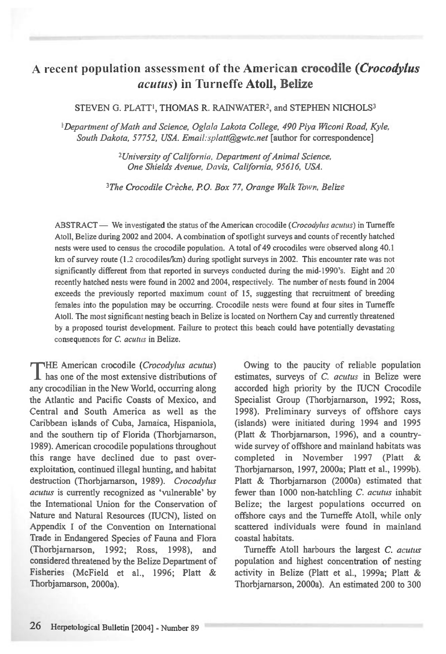# A recent population assessment of the American **crocodile** *(Crocodylus acutus)* in Turneffe **Atoll, Belize**

#### STEVEN G. PLATT<sup>1</sup>, THOMAS R. RAINWATER<sup>2</sup>, and STEPHEN NICHOLS<sup>3</sup>

*!Department of Math and Science, Oglala Lakota College, 490 Piya Wiconi Road, Kyle, South Dakota, 57752, USA. Email:splatt@gwtc.net* [author for correspondence]

> *<sup>2</sup>University of California, Department of Animal Science, One Shields Avenue, Davis, California, 95616, USA.*

*<sup>3</sup>The Crocodile Creche, P.O. Box 77, Orange Walk Town, Belize* 

ABSTRACT — *We* investigated the status of the American crocodile *(Crocodylus acutus)* in Turneffe Atoll, Belize during 2002 and 2004. A combination of spotlight surveys and counts of recently hatched nests were used to census the crocodile population. A total of 49 crocodiles were observed along 40.1 km of survey route (1.2 crocodiles/km) during spotlight surveys in 2002. This encounter rate was not significantly different from that reported in surveys conducted during the mid-1990's. Eight and 20 recently hatched nests were found in 2002 and 2004, respectively. The number of nests found in 2004 exceeds the previously reported maximum count of 15, suggesting that recruitment of breeding females into the population may be occurring. Crocodile nests were found at four sites in Turneffe Atoll. The most significant nesting beach in Belize is located on Northern Cay and currently threatened by a proposed tourist development. Failure to protect this beach could have potentially devastating consequences for *C. acutus* in Belize.

rTHE American crocodile *(Crocodylus acutus)*  **1** has one of the most extensive distributions of any crocodilian in the New World, occurring along the Atlantic and Pacific Coasts of Mexico, and Central and South America as well as the Caribbean islands of Cuba, Jamaica, Hispaniola, and the southern tip of Florida (Thorbjarnarson, 1989). American crocodile populations throughout this range have declined due to past overexploitation, continued illegal hunting, and habitat destruction (Thorbjamarson, 1989). *Crocodylus acutus* is currently recognized as 'vulnerable' by the International Union for the Conservation of Nature and Natural Resources (IUCN), listed on Appendix I of the Convention on International Trade in Endangered Species of Fauna and Flora (Thorbjamarson, 1992; Ross, 1998), and considered threatened by the Belize Department of Fisheries (McField et al., 1996; Platt & Thorbjarnarson, 2000a).

Owing to the paucity of reliable population estimates, surveys of C. *acutus* in Belize were accorded high priority by the IUCN Crocodile Specialist Group (Thorbjamarson, 1992; Ross, 1998). Preliminary surveys of offshore cays (islands) were initiated during 1994 and 1995 (Platt & Thorbjarnarson, 1996), and a countrywide survey of offshore and mainland habitats was completed in November 1997 (Platt & Thorbjamarson, 1997, 2000a; Platt et al., 1999b). Platt & Thorbjamarson (2000a) estimated that fewer than 1000 non-hatchling *C. acutus* inhabit Belize; the largest populations occurred on offshore cays and the Turneffe Atoll, while only scattered individuals were found in mainland coastal habitats.

Tumeffe Atoll harbours the largest *C. acutus*  population and highest concentration of nesting activity in Belize (Platt et al., 1999a; Platt & Thorbjarnarson, 2000a). An estimated 200 to 300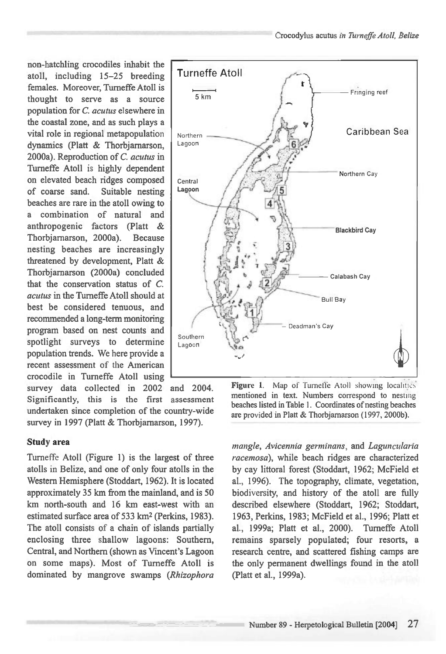non-hatchling crocodiles inhabit the atoll, including 15-25 breeding females. Moreover, Turneffe Atoll is thought to serve as a source population for C. *acutus* elsewhere in the coastal zone, and as such plays a vital role in regional metapopulation dynamics (Platt & Thorbjamarson, 2000a). Reproduction of *C. acutus* in Turneffe Atoll is highly dependent on elevated beach ridges composed of coarse sand. Suitable nesting beaches are rare in the atoll owing to a combination of natural and anthropogenic factors (Platt & Thorbjamarson, 2000a). Because nesting beaches are increasingly threatened by development, Platt & Thorbjamarson (2000a) concluded that the conservation status of *C. acutus* in the Tumeffe Atoll should at best be considered tenuous, and recommended a long-term monitoring program based on nest counts and spotlight surveys to determine population trends. We here provide a recent assessment of the American crocodile in Turneffe Atoll using survey data collected in 2002 and 2004.

Significantly, this is the first assessment undertaken since completion of the country-wide survey in 1997 (Platt & Thorbjarnarson, 1997).

### **Study area**

Tumeffe Atoll (Figure 1) is the largest of three atolls in Belize, and one of only four atolls in the Western Hemisphere (Stoddart, 1962). It is located approximately 35 km from the mainland, and is 50 km north-south and 16 km east-west with an estimated surface area of 533 km2(Perkins, 1983). The atoll consists of a chain of islands partially enclosing three shallow lagoons: Southern, Central, and Northern (shown as Vincent's Lagoon on some maps). Most of Turneffe Atoll is dominated by mangrove swamps *(Rhizophora* 



Figure 1. Map of Turneffe Atoll showing localities mentioned in text. Numbers correspond to nesting beaches listed in Table 1. Coordinates of nesting beaches are provided in Platt & Thorbjamarson (1997, 2000b).

*mangle, Avicennia germinans,* and *Laguncularia racemosa),* while beach ridges are characterized by cay littoral forest (Stoddart, 1962; McField et al., 1996). The topography, climate, vegetation, biodiversity, and history of the atoll are fully described elsewhere (Stoddart, 1962; Stoddart, 1963, Perkins, 1983; McField et al., 1996; Platt et al., 1999a; Platt et al., 2000). Turneffe Atoll remains sparsely populated; four resorts, a research centre, and scattered fishing camps are the only permanent dwellings found in the atoll (Platt et al., 1999a).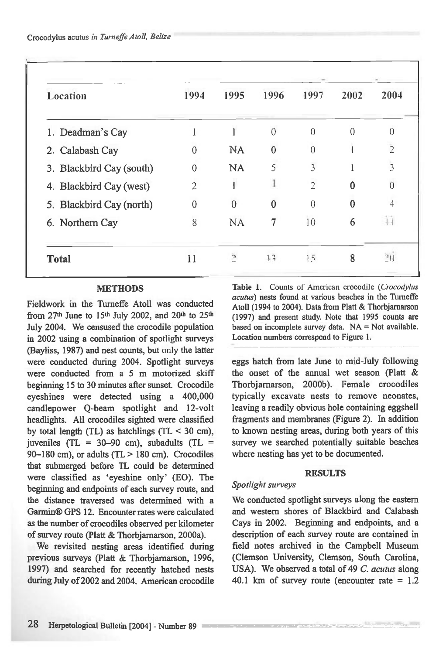| Location                 | 1994           | 1995           | 1996     | 1997           | 2002     | 2004           |
|--------------------------|----------------|----------------|----------|----------------|----------|----------------|
| 1. Deadman's Cay         |                |                | $\theta$ | $\theta$       | 0        | 0              |
| 2. Calabash Cay          | 0              | <b>NA</b>      | $\Omega$ | $\theta$       |          | $\overline{2}$ |
| 3. Blackbird Cay (south) | $\theta$       | <b>NA</b>      | 5        | 3              |          | $\overline{3}$ |
| 4. Blackbird Cay (west)  | $\overline{2}$ |                |          | $\overline{2}$ | 0        | $\Omega$       |
| 5. Blackbird Cay (north) | $\mathbf{0}$   | 0              | 0        | $\theta$       | $\theta$ | 4              |
| 6. Northern Cay          | 8              | <b>NA</b>      | 7        | 10             | 6        |                |
| <b>Total</b>             | 11             | $\overline{a}$ | 13       | 15             | 8        | $\supseteq$ () |

### **METHODS**

Fieldwork in the Tumeffe Atoll was conducted from  $27<sup>th</sup>$  June to  $15<sup>th</sup>$  July 2002, and  $20<sup>th</sup>$  to  $25<sup>th</sup>$ July 2004. We censused the crocodile population in 2002 using a combination of spotlight surveys (Bayliss, 1987) and nest counts, but only the latter were conducted during 2004. Spotlight surveys were conducted from a 5 m motorized skiff beginning 15 to 30 minutes after sunset. Crocodile eyeshines were detected using a 400,000 candlepower Q-beam spotlight and 12-volt headlights. All crocodiles sighted were classified by total length (TL) as hatchlings (TL  $\leq$  30 cm), juveniles (TL = 30-90 cm), subadults (TL = 90-180 cm), or adults (TL  $>$  180 cm). Crocodiles that submerged before TL could be determined were classified as `eyeshine only' (EO). The beginning and endpoints of each survey route, and the distance traversed was determined with a Garmin® GPS 12. Encounter rates were calculated as the number of crocodiles observed per kilometer of survey route (Platt & Thorbjamarson, 2000a).

We revisited nesting areas identified during previous surveys (Platt & Thorbjarnarson, 1996, 1997) and searched for recently hatched nests during July of 2002 and 2004. American crocodile Table 1. Counts of American crocodile *(Crocodylus acutus)* nests found at various beaches in the Tumeffe Atoll (1994 to 2004). Data from Platt & Thorbjamarson (1997) and present study. Note that 1995 counts are based on incomplete survey data.  $NA = Not available$ . Location numbers correspond to Figure 1.

eggs batch from late June to mid-July following the onset of the annual wet season (Platt & Thorbjamarson, 2000b). Female crocodiles typically excavate nests to remove neonates, leaving a readily obvious hole containing eggshell fragments and membranes (Figure 2). In addition to known nesting areas, during both years of this survey we searched potentially suitable beaches where nesting has yet to be documented.

### **RESULTS**

### *Spotlight surveys*

We conducted spotlight surveys along the eastern and western shores of Blackbird and Calabash Cays in 2002. Beginning and endpoints, and a description of each survey route are contained in field notes archived in the Campbell Museum (Clemson University, Clemson, South Carolina, USA). We observed a total of 49 *C. acutus* along 40.1 km of survey route (encounter rate  $= 1.2$ 

**Modern Stage Backer for the Community**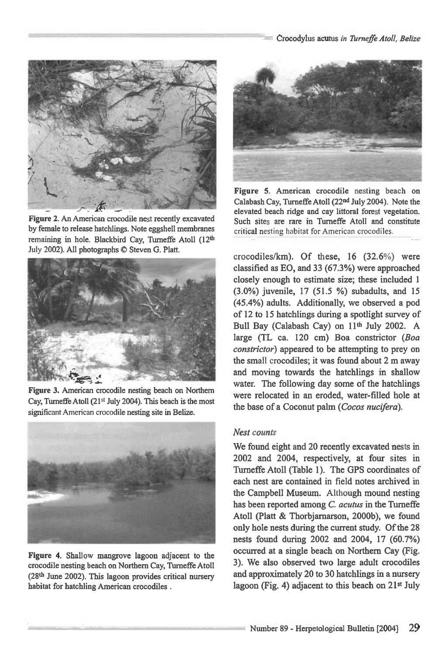

**Figure 2. An American crocodile nest recently excavated by female to release hatchlings. Note eggshell membranes remaining in hole. Blackbird Cay, Tumeffe Atoll (12th**  July 2002). All photographs  $©$  Steven G. Platt.



**Figure 3. American crocodile nesting beach on Northern**  Cay, Turneffe Atoll (21<sup>st</sup> July 2004). This beach is the most significant American crocodile nesting site in Belize.



**Figure 4. Shallow mangrove lagoon adjacent to the crocodile nesting beach on Northern Cay, Tumeffe Atoll (28th June 2002). This lagoon provides critical nursery habitat for hatchling American crocodiles .** 



**Figure 5. American crocodile nesting beach on Calabash Cay, Turneffe Atoll (22nd July 2004). Note the elevated beach ridge and cay littoral forest vegetation. Such sites are rare in Turneffe Atoll and constitute**  critical nesting habitat for American crocodiles.

crocodiles/km). Of these, 16 (32.6%) were classified as EO, and 33 (67.3%) were approached closely enough to estimate size; these included 1 (3.0%) juvenile, 17 (51.5 %) subadults, and 15 (45.4%) adults. Additionally, we observed a pod of 12 to 15 hatchlings during a spotlight survey of Bull Bay (Calabash Cay) on 11<sup>th</sup> July 2002. A large (TL ca. 120 cm) Boa constrictor *(Boa constrictor)* appeared to be attempting to prey on the small crocodiles; it was found about 2 m away and moving towards the hatchlings in shallow water. The following day some of the hatchlings were relocated in an eroded, water-filled hole at the base of a Coconut palm *(Cocos nucifera).* 

### *Nest counts*

We found eight and 20 recently excavated nests in 2002 and 2004, respectively, at four sites in Turneffe Atoll (Table 1). The GPS coordinates of each nest are contained in field notes archived in the Campbell Museum. Although mound nesting has been reported among *C. acutus* in the Turneffe Atoll (Platt & Thorbjamarson, 2000b), we found only hole nests during the current study. Of the 28 nests found during 2002 and 2004, 17 (60.7%) occurred at a single beach on Northern Cay (Fig. 3). We also observed two large adult crocodiles and approximately 20 to 30 hatchlings in a nursery lagoon (Fig. 4) adjacent to this beach on 21<sup>st</sup> July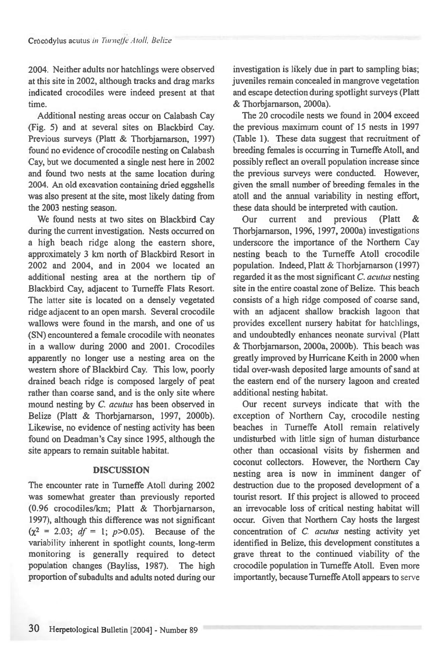2004. Neither adults nor hatchlings were observed at this site in 2002, although tracks and drag marks indicated crocodiles were indeed present at that time.

Additional nesting areas occur on Calabash Cay (Fig. 5) and at several sites on Blackbird Cay. Previous surveys (Platt *&* Thorbjarnarson, 1997) found no evidence of crocodile nesting on Calabash Cay, but we documented a single nest here in 2002 and found two nests at the same location during 2004. An old excavation containing dried eggshells was also present at the site, most likely dating from the 2003 nesting season.

We found nests at two sites on Blackbird Cay during the current investigation. Nests occurred on a high beach ridge along the eastern shore, approximately 3 km north of Blackbird Resort in 2002 and 2004, and in 2004 we located an additional nesting area at the northern tip of Blackbird Cay, adjacent to Turneffe Flats Resort. The latter site is located on a densely vegetated ridge adjacent to an open marsh. Several crocodile wallows were found in the marsh, and one of us (SN) encountered a female crocodile with neonates in a wallow during 2000 and 2001. Crocodiles apparently no longer use a nesting area on the western shore of Blackbird Cay. This low, poorly drained beach ridge is composed largely of peat rather than coarse sand, and is the only site where mound nesting by *C. acutus* has been observed in Belize (Platt & Thorbjarnarson, 1997, 2000b). Likewise, no evidence of nesting activity has been found on Deadman's Cay since 1995, although the site appears to remain suitable habitat.

## **DISCUSSION**

The encounter rate in Turneffe Atoll during 2002 was somewhat greater than previously reported (0.96 crocodiles/km; Platt & Thorbjarnarson, 1997), although this difference was not significant  $(x^2 = 2.03; df = 1; p > 0.05)$ . Because of the variability inherent in spotlight counts, long-term monitoring is generally required to detect population changes (Bayliss, 1987). The high proportion of subadults and adults noted during our

investigation is likely due in part to sampling bias; juveniles remain concealed in mangrove vegetation and escape detection during spotlight surveys (Platt & Thorbjarnarson, 2000a).

The 20 crocodile nests we found in 2004 exceed the previous maximum count of 15 nests in 1997 (Table 1). These data suggest that recruitment of breeding females is occurring in Turneffe Atoll, and possibly reflect an overall population increase since the previous surveys were conducted. However, given the small number of breeding females in the atoll and the annual variability in nesting effort, these data should be interpreted with caution.

Our current and previous (Platt & Thorbjarnarson, 1996, 1997, 2000a) investigations underscore the importance of the Northern Cay nesting beach to the Turneffe Atoll crocodile population. Indeed, Platt & Thorbjarnarson (1997) regarded it as the most significant *C. acutus* nesting site in the entire coastal zone of Belize. This beach consists of a high ridge composed of coarse sand, with an adjacent shallow brackish lagoon that provides excellent nursery habitat for hatchlings, and undoubtedly enhances neonate survival (Platt & Thorbjarnarson, 2000a, 2000b). This beach was greatly improved by Hurricane Keith in 2000 when tidal over-wash deposited large amounts of sand at the eastern end of the nursery lagoon and created additional nesting habitat.

Our recent surveys indicate that with the exception of Northern Cay, crocodile nesting beaches in Tumeffe Atoll remain relatively undisturbed with little sign of human disturbance other than occasional visits by fishermen and coconut collectors. However, the Northern Cay nesting area is now in imminent danger of destruction due to the proposed development of a tourist resort. If this project is allowed to proceed an irrevocable loss of critical nesting habitat will occur. Given that Northern Cay hosts the largest concentration of C. *acutus* nesting activity yet identified in Belize, this development constitutes a grave threat to the continued viability of the crocodile population in Turneffe Atoll. Even more importantly, because Turneffe Atoll appears to serve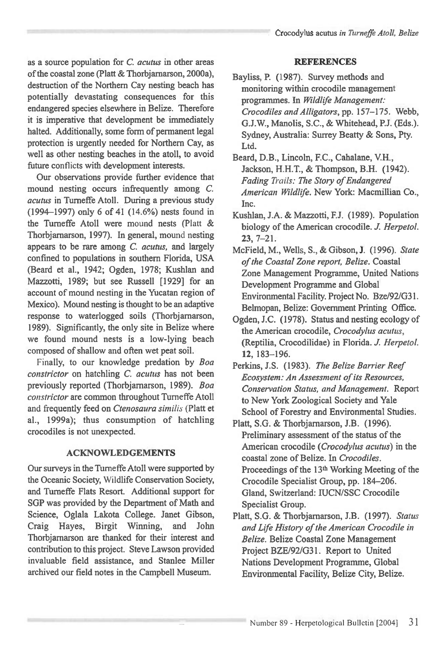as a source population for *C. acutus* in other areas of the coastal zone (Platt & Thorbjarnarson, 2000a), destruction of the Northern Cay nesting beach has potentially devastating consequences for this endangered species elsewhere in Belize. Therefore it is imperative that development be immediately halted. Additionally, some form of permanent legal protection is urgently needed for Northern Cay, as well as other nesting beaches in the atoll, to avoid future conflicts with development interests.

Our observations provide further evidence that mound nesting occurs infrequently among C. *acutus* in Turneffe Atoll. During a previous study (1994-1997) only 6 of 41 (14.6%) nests found in the Tumeffe Atoll were mound nests (Platt & Thorbjamarson, 1997). In general, mound nesting appears to be rare among C. *acutus,* and largely confined to populations in southern Florida, USA (Beard et al., 1942; Ogden, 1978; Kushlan and Mazzotti, 1989; but see Russell [1929] for an account of mound nesting in the Yucatan region of Mexico). Mound nesting is thought to be an adaptive response to waterlogged soils (Thorbjarnarson, 1989). Significantly, the only site in Belize where we found mound nests is a low-lying beach composed of shallow and often wet peat soil.

Finally, to our knowledge predation by *Boa constrictor* on hatchling C. *acutus* has not been previously reported (Thorbjarnarson, 1989). *Boa constrictor* are common throughout Turneffe Atoll and frequently feed on *Ctenosaura similis (Platt et*  al., 1999a); thus consumption of hatchling crocodiles is not unexpected.

### **ACKNOWLEDGEMENTS**

Our surveys in the Turneffe Atoll were supported by the Oceanic Society, Wildlife Conservation Society, and Turneffe Flats Resort. Additional support for SGP was provided by the Department of Math and Science, Oglala Lakota College. Janet Gibson, Craig Hayes, Birgit Winning, and John Thorbjarnarson are thanked for their interest and contribution to this project. Steve Lawson provided invaluable field assistance, and Stanlee Miller archived our field notes in the Campbell Museum.

### **REFERENCES**

- Bayliss, P. (1987). Survey methods and monitoring within crocodile management programmes. In *Wildlife Management: Crocodiles and Alligators,* pp. 157-175. Webb, G.J.W., Manolis, S.C., & Whitehead, P.J. (Eds.). Sydney, Australia: Surrey Beatty & Sons, Pty. Ltd.
- Beard, D.B., Lincoln, F.C., Cahalane, V.H., Jackson, H.H.T., & Thompson, B.H. (1942). *Fading Trails: The Story of Endangered American Wildlife.* New York: Macmillian Co., Inc.
- Kushlan, J.A. & Mazzotti, F.J. (1989). Population biology of the American crocodile. *J. Herpetol.*  **23,** 7-21.
- McField, M., Wells, S., & Gibson, J. (1996). *State of the Coastal Zone report, Belize.* Coastal Zone Management Programme, United Nations Development Programme and Global Environmental Facility. Project No. Bze/92/G31. Belmopan, Belize: Government Printing Office.
- Ogden, J.C. (1978). Status and nesting ecology of the American crocodile, *Crocodylus acutus,*  (Reptilia, Crocodilidae) in Florida. *J. Herpetol.*  **12,** 183-196.
- Perkins, J.S. (1983). *The Belize Barrier Reef Ecosystem: An Assessment of its Resources, Conservation Status, and Management.* Report to New York Zoological Society and Yale School of Forestry and Environmental Studies.
- Platt, S.G. & Thorbjarnarson, J.B. (1996). Preliminary assessment of the status of the American crocodile *(Crocodylus acutus)* in the coastal zone of Belize. In *Crocodiles.*  Proceedings of the 13<sup>th</sup> Working Meeting of the Crocodile Specialist Group, pp. 184-206. Gland, Switzerland: IUCN/SSC Crocodile Specialist Group.
- Platt, S.G. & Thorbjamarson, J.B. (1997). *Status and Life History of the American Crocodile in Belize.* Belize Coastal Zone Management Project BZE/92/G31. Report to United Nations Development Programme, Global Environmental Facility, Belize City, Belize.